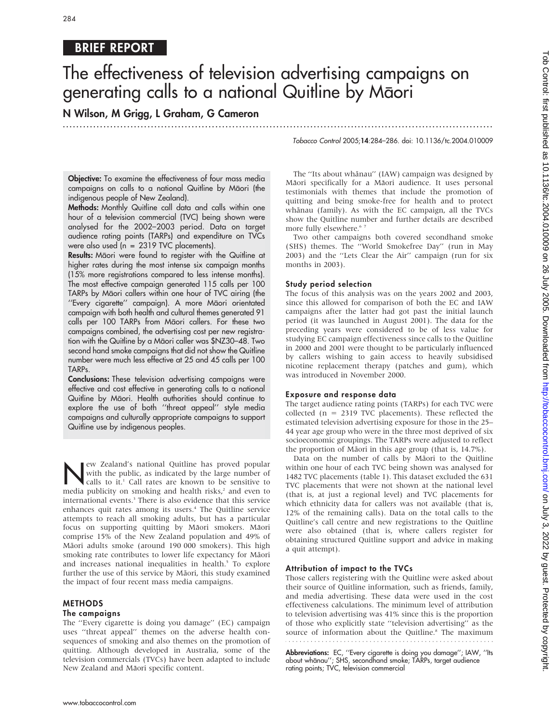## BRIEF REPORT

## The effectiveness of television advertising campaigns on generating calls to a national Quitline by Maori

N Wilson, M Grigg, L Graham, G Cameron

...............................................................................................................................

Tobacco Control 2005;14:284–286. doi: 10.1136/tc.2004.010009

Objective: To examine the effectiveness of four mass media campaigns on calls to a national Quitline by Maori (the indigenous people of New Zealand).

Methods: Monthly Quitline call data and calls within one hour of a television commercial (TVC) being shown were analysed for the 2002–2003 period. Data on target audience rating points (TARPs) and expenditure on TVCs were also used ( $n = 2319$  TVC placements).

Results: Māori were found to register with the Quitline at higher rates during the most intense six campaign months (15% more registrations compared to less intense months). The most effective campaign generated 115 calls per 100 TARPs by Maori callers within one hour of TVC airing (the "Every cigarette" campaign). A more Māori orientated campaign with both health and cultural themes generated 91 calls per 100 TARPs from Maori callers. For these two campaigns combined, the advertising cost per new registration with the Quitline by a Maori caller was \$NZ30-48. Two second hand smoke campaigns that did not show the Quitline number were much less effective at 25 and 45 calls per 100 TARPs.

Conclusions: These television advertising campaigns were effective and cost effective in generating calls to a national Quitline by Māori. Health authorities should continue to explore the use of both ''threat appeal'' style media campaigns and culturally appropriate campaigns to support Quitline use by indigenous peoples.

New Zealand's national Quitline has proved popular<br>with the public, as indicated by the large number of<br>calls to it.<sup>1</sup> Call rates are known to be sensitive to<br>media publicity on emploing and health ricks<sup>2</sup> and gypt to with the public, as indicated by the large number of media publicity on smoking and health risks, $2$  and even to international events.<sup>3</sup> There is also evidence that this service enhances quit rates among its users.4 The Quitline service attempts to reach all smoking adults, but has a particular focus on supporting quitting by Māori smokers. Māori comprise 15% of the New Zealand population and 49% of Māori adults smoke (around 190 000 smokers). This high smoking rate contributes to lower life expectancy for Māori and increases national inequalities in health.<sup>5</sup> To explore further the use of this service by Māori, this study examined the impact of four recent mass media campaigns.

## **METHODS**

#### The campaigns

The ''Every cigarette is doing you damage'' (EC) campaign uses ''threat appeal'' themes on the adverse health consequences of smoking and also themes on the promotion of quitting. Although developed in Australia, some of the television commercials (TVCs) have been adapted to include New Zealand and Māori specific content.

The "Its about whānau" (IAW) campaign was designed by Māori specifically for a Māori audience. It uses personal testimonials with themes that include the promotion of quitting and being smoke-free for health and to protect whānau (family). As with the EC campaign, all the TVCs show the Quitline number and further details are described more fully elsewhere.<sup>67</sup>

Two other campaigns both covered secondhand smoke (SHS) themes. The ''World Smokefree Day'' (run in May 2003) and the ''Lets Clear the Air'' campaign (run for six months in 2003).

#### Study period selection

The focus of this analysis was on the years 2002 and 2003, since this allowed for comparison of both the EC and IAW campaigns after the latter had got past the initial launch period (it was launched in August 2001). The data for the preceding years were considered to be of less value for studying EC campaign effectiveness since calls to the Quitline in 2000 and 2001 were thought to be particularly influenced by callers wishing to gain access to heavily subsidised nicotine replacement therapy (patches and gum), which was introduced in November 2000.

### Exposure and response data

The target audience rating points (TARPs) for each TVC were collected (n = 2319 TVC placements). These reflected the estimated television advertising exposure for those in the 25– 44 year age group who were in the three most deprived of six socioeconomic groupings. The TARPs were adjusted to reflect the proportion of Māori in this age group (that is, 14.7%).

Data on the number of calls by Māori to the Quitline within one hour of each TVC being shown was analysed for 1482 TVC placements (table 1). This dataset excluded the 631 TVC placements that were not shown at the national level (that is, at just a regional level) and TVC placements for which ethnicity data for callers was not available (that is, 12% of the remaining calls). Data on the total calls to the Quitline's call centre and new registrations to the Quitline were also obtained (that is, where callers register for obtaining structured Quitline support and advice in making a quit attempt).

#### Attribution of impact to the TVCs

Those callers registering with the Quitline were asked about their source of Quitline information, such as friends, family, and media advertising. These data were used in the cost effectiveness calculations. The minimum level of attribution to television advertising was 41% since this is the proportion of those who explicitly state ''television advertising'' as the source of information about the Quitline.<sup>8</sup> The maximum

Abbreviations: EC, ''Every cigarette is doing you damage''; IAW, ''Its about whānau''; SHS, secondhand smoke; TARPs, target audience rating points; TVC, television commercial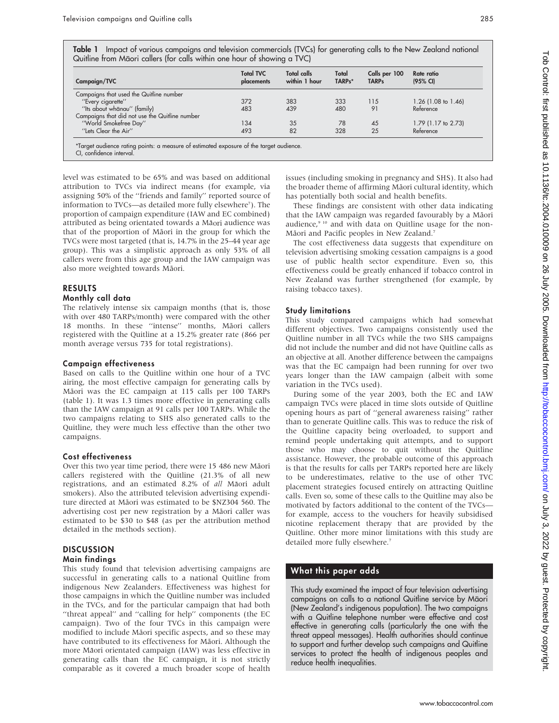| Campaign/TVC                                   | <b>Total TVC</b><br>placements | <b>Total calls</b><br>within 1 hour | Total<br>TARPs* | Calls per 100<br><b>TARPs</b> | Rate ratio<br>$(95%$ CI)       |
|------------------------------------------------|--------------------------------|-------------------------------------|-----------------|-------------------------------|--------------------------------|
| Campaigns that used the Quitline number        |                                |                                     |                 |                               |                                |
| "Every cigarette"                              | 372                            | 383                                 | 333             | 115                           | 1.26 $(1.08 \text{ to } 1.46)$ |
| "Its about whanau" (family)                    | 483                            | 439                                 | 480             | 91                            | Reference                      |
| Campaigns that did not use the Quitline number |                                |                                     |                 |                               |                                |
| "World Smokefree Day"                          | 134                            | 35                                  | 78              | 45                            | 1.79 (1.17 to 2.73)            |
| "Lets Clear the Air"                           | 493                            | 82                                  | 328             | 25                            | Reference                      |

\*Target audience rating points: a measure of estimated exposure of the target audience.

CI, confidence interval.

level was estimated to be 65% and was based on additional attribution to TVCs via indirect means (for example, via assigning 50% of the ''friends and family'' reported source of information to TVCs-as detailed more fully elsewhere<sup>7</sup>). The proportion of campaign expenditure (IAW and EC combined) attributed as being orientated towards a Māori audience was that of the proportion of Māori in the group for which the TVCs were most targeted (that is, 14.7% in the 25–44 year age group). This was a simplistic approach as only 53% of all callers were from this age group and the IAW campaign was also more weighted towards Māori.

## RESULTS

## Monthly call data

The relatively intense six campaign months (that is, those with over 480 TARPs/month) were compared with the other 18 months. In these "intense" months, Māori callers registered with the Quitline at a 15.2% greater rate (866 per month average versus 735 for total registrations).

## Campaign effectiveness

Based on calls to the Quitline within one hour of a TVC airing, the most effective campaign for generating calls by Māori was the EC campaign at 115 calls per 100 TARPs (table 1). It was 1.3 times more effective in generating calls than the IAW campaign at 91 calls per 100 TARPs. While the two campaigns relating to SHS also generated calls to the Quitline, they were much less effective than the other two campaigns.

## Cost effectiveness

Over this two year time period, there were 15 486 new Māori callers registered with the Quitline (21.3% of all new registrations, and an estimated 8.2% of all Māori adult smokers). Also the attributed television advertising expenditure directed at Māori was estimated to be \$NZ304 560. The advertising cost per new registration by a Māori caller was estimated to be \$30 to \$48 (as per the attribution method detailed in the methods section).

## **DISCUSSION**

## Main findings

This study found that television advertising campaigns are successful in generating calls to a national Quitline from indigenous New Zealanders. Effectiveness was highest for those campaigns in which the Quitline number was included in the TVCs, and for the particular campaign that had both ''threat appeal'' and ''calling for help'' components (the EC campaign). Two of the four TVCs in this campaign were modified to include Māori specific aspects, and so these may have contributed to its effectiveness for Māori. Although the more Māori orientated campaign (IAW) was less effective in generating calls than the EC campaign, it is not strictly comparable as it covered a much broader scope of health issues (including smoking in pregnancy and SHS). It also had the broader theme of affirming Māori cultural identity, which has potentially both social and health benefits.

These findings are consistent with other data indicating that the IAW campaign was regarded favourably by a Māori audience, $910$  and with data on Quitline usage for the non-Māori and Pacific peoples in New Zealand.7

The cost effectiveness data suggests that expenditure on television advertising smoking cessation campaigns is a good use of public health sector expenditure. Even so, this effectiveness could be greatly enhanced if tobacco control in New Zealand was further strengthened (for example, by raising tobacco taxes).

## Study limitations

This study compared campaigns which had somewhat different objectives. Two campaigns consistently used the Quitline number in all TVCs while the two SHS campaigns did not include the number and did not have Quitline calls as an objective at all. Another difference between the campaigns was that the EC campaign had been running for over two years longer than the IAW campaign (albeit with some variation in the TVCs used).

During some of the year 2003, both the EC and IAW campaign TVCs were placed in time slots outside of Quitline opening hours as part of ''general awareness raising'' rather than to generate Quitline calls. This was to reduce the risk of the Quitline capacity being overloaded, to support and remind people undertaking quit attempts, and to support those who may choose to quit without the Quitline assistance. However, the probable outcome of this approach is that the results for calls per TARPs reported here are likely to be underestimates, relative to the use of other TVC placement strategies focused entirely on attracting Quitline calls. Even so, some of these calls to the Quitline may also be motivated by factors additional to the content of the TVCs for example, access to the vouchers for heavily subsidised nicotine replacement therapy that are provided by the Quitline. Other more minor limitations with this study are detailed more fully elsewhere.<sup>7</sup>

## What this paper adds

This study examined the impact of four television advertising campaigns on calls to a national Quitline service by Maori (New Zealand's indigenous population). The two campaigns with a Quitline telephone number were effective and cost effective in generating calls (particularly the one with the threat appeal messages). Health authorities should continue to support and further develop such campaigns and Quitline services to protect the health of indigenous peoples and reduce health inequalities.